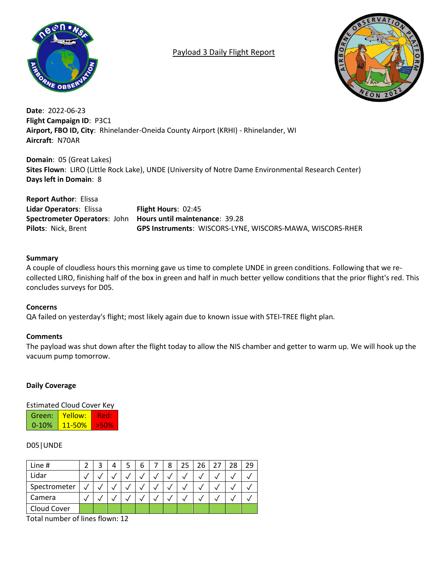

# Payload 3 Daily Flight Report



**Date**: 2022-06-23 **Flight Campaign ID**: P3C1 **Airport, FBO ID, City**: Rhinelander-Oneida County Airport (KRHI) - Rhinelander, WI **Aircraft**: N70AR

**Domain**: 05 (Great Lakes) **Sites Flown**: LIRO (Little Rock Lake), UNDE (University of Notre Dame Environmental Research Center) **Days left in Domain**: 8

**Report Author**: Elissa **Lidar Operators**: Elissa **Flight Hours**: 02:45 **Spectrometer Operators**: John **Hours until maintenance**: 39.28 **Pilots**: Nick, Brent **GPS Instruments**: WISCORS-LYNE, WISCORS-MAWA, WISCORS-RHER

### **Summary**

A couple of cloudless hours this morning gave us time to complete UNDE in green conditions. Following that we recollected LIRO, finishing half of the box in green and half in much better yellow conditions that the prior flight's red. This concludes surveys for D05.

### **Concerns**

QA failed on yesterday's flight; most likely again due to known issue with STEI-TREE flight plan.

## **Comments**

The payload was shut down after the flight today to allow the NIS chamber and getter to warm up. We will hook up the vacuum pump tomorrow.

### **Daily Coverage**

Estimated Cloud Cover Key

| Green:    | Yellow:    |         |
|-----------|------------|---------|
| $0 - 10%$ | $11 - 50%$ | - 5511% |

## D05|UNDE

| Line #       |  | 4 |  | 8 | 26 | 28 |  |
|--------------|--|---|--|---|----|----|--|
| Lidar        |  |   |  |   |    |    |  |
| Spectrometer |  |   |  |   |    |    |  |
| Camera       |  |   |  |   |    |    |  |
| Cloud Cover  |  |   |  |   |    |    |  |

Total number of lines flown: 12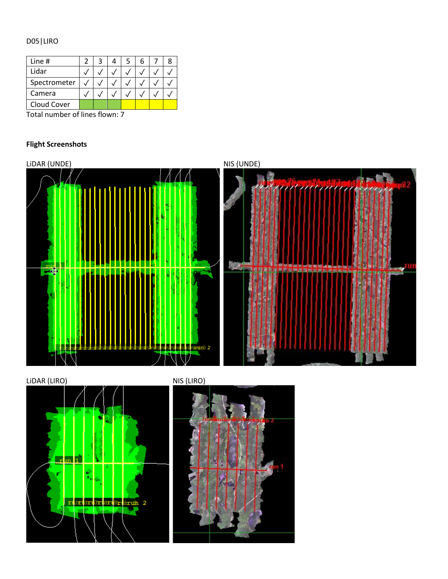# D05|LIRO

| Line #       |  |  |  |  |
|--------------|--|--|--|--|
| Lidar        |  |  |  |  |
| Spectrometer |  |  |  |  |
| Camera       |  |  |  |  |
| Cloud Cover  |  |  |  |  |

Total number of lines flown: 7

# **Flight Screenshots**





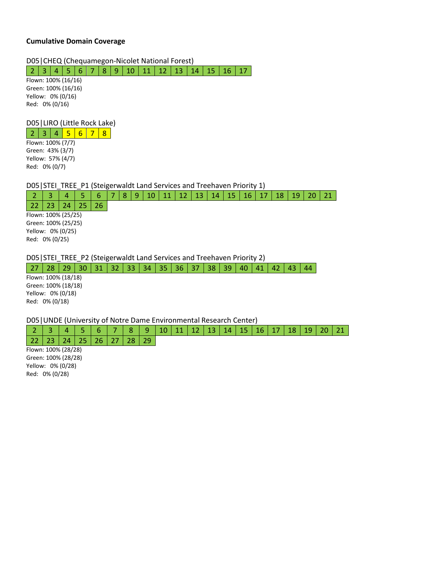#### **Cumulative Domain Coverage**

D05|CHEQ (Chequamegon-Nicolet National Forest)

| 2 | 3 | 4 | 5 | 6 | 7 | 8 | 9 | 10 | 11 | 12 | 13 | 14 | 15 | 16 | 17

Flown: 100% (16/16) Green: 100% (16/16) Yellow: 0% (0/16) Red: 0% (0/16)

### D05|LIRO (Little Rock Lake)

 $2 | 3 | 4 | 5 | 6 | 7 | 8$ Flown: 100% (7/7)

Green: 43% (3/7) Yellow: 57% (4/7) Red: 0% (0/7)

D05 | STEI\_TREE\_P1 (Steigerwaldt Land Services and Treehaven Priority 1)

2 | 3 | 4 | 5 | 6 |7 |8 |9 | 10 | 11 | 12 | 13 | 14 | 15 | 16 | 17 | 18 | 19 | 20 | 21

22 23 24 25 26 Flown: 100% (25/25) Green: 100% (25/25) Yellow: 0% (0/25) Red: 0% (0/25)

D05|STEI\_TREE\_P2 (Steigerwaldt Land Services and Treehaven Priority 2)

27 | 28 | 29 | 30 | 31 | 32 | 33 | 34 | 35 | 36 | 37 | 38 | 39 | 40 | 41 | 42 | 43 | 44

Flown: 100% (18/18) Green: 100% (18/18) Yellow: 0% (0/18) Red: 0% (0/18)

D05|UNDE (University of Notre Dame Environmental Research Center)

2 | 3 | 4 | 5 | 6 | 7 | 8 | 9 | 10 | 11 | 12 | 13 | 14 | 15 | 16 | 17 | 18 | 19 | 20 | 21 22 | 23 | 24 | 25 | 26 | 27 | 28 | 29

Flown: 100% (28/28) Green: 100% (28/28) Yellow: 0% (0/28) Red: 0% (0/28)